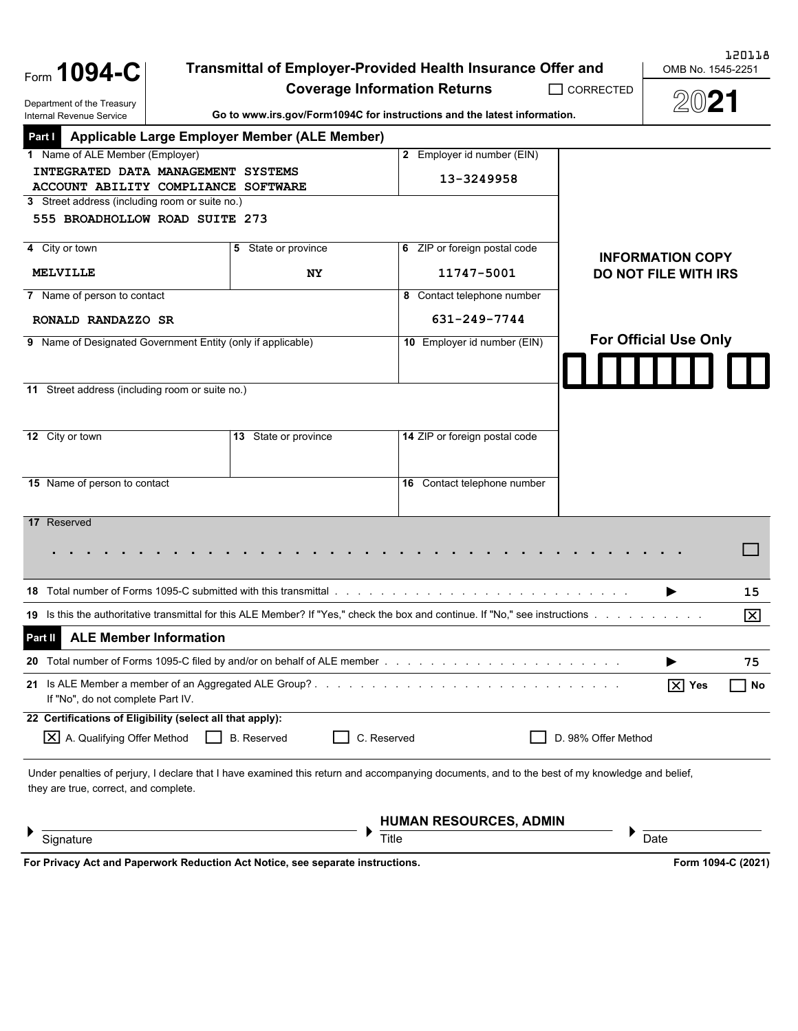Form **1094-C**

Department of the Treasury

## **Transmittal of Employer-Provided Health Insurance Offer and**

**Coverage Information Returns**

OMB No. 1545-2251

 $\overline{\phantom{0}}$  corrected 2021

| Department of the Treasury<br>Internal Revenue Service                                                                                                                                                                              |                      | Go to www.irs.gov/Form1094C for instructions and the latest information. | ZWZ I                             |  |  |
|-------------------------------------------------------------------------------------------------------------------------------------------------------------------------------------------------------------------------------------|----------------------|--------------------------------------------------------------------------|-----------------------------------|--|--|
| Applicable Large Employer Member (ALE Member)<br>Part I                                                                                                                                                                             |                      |                                                                          |                                   |  |  |
| 1 Name of ALE Member (Employer)                                                                                                                                                                                                     |                      | 2 Employer id number (EIN)                                               |                                   |  |  |
| INTEGRATED DATA MANAGEMENT SYSTEMS<br>ACCOUNT ABILITY COMPLIANCE SOFTWARE                                                                                                                                                           |                      | 13-3249958                                                               |                                   |  |  |
| 3 Street address (including room or suite no.)                                                                                                                                                                                      |                      |                                                                          |                                   |  |  |
| 555 BROADHOLLOW ROAD SUITE 273                                                                                                                                                                                                      |                      |                                                                          |                                   |  |  |
| 4 City or town                                                                                                                                                                                                                      | 5 State or province  | 6 ZIP or foreign postal code                                             | <b>INFORMATION COPY</b>           |  |  |
| <b>MELVILLE</b>                                                                                                                                                                                                                     | NY.                  | 11747-5001                                                               | <b>DO NOT FILE WITH IRS</b>       |  |  |
| 7 Name of person to contact                                                                                                                                                                                                         |                      | 8 Contact telephone number                                               |                                   |  |  |
| RONALD RANDAZZO SR                                                                                                                                                                                                                  |                      | 631-249-7744                                                             |                                   |  |  |
| 9 Name of Designated Government Entity (only if applicable)                                                                                                                                                                         |                      | 10 Employer id number (EIN)                                              | <b>For Official Use Only</b>      |  |  |
|                                                                                                                                                                                                                                     |                      |                                                                          |                                   |  |  |
| 11 Street address (including room or suite no.)                                                                                                                                                                                     |                      |                                                                          |                                   |  |  |
|                                                                                                                                                                                                                                     |                      |                                                                          |                                   |  |  |
| 12 City or town                                                                                                                                                                                                                     | 13 State or province | 14 ZIP or foreign postal code                                            |                                   |  |  |
|                                                                                                                                                                                                                                     |                      |                                                                          |                                   |  |  |
| 15 Name of person to contact                                                                                                                                                                                                        |                      | 16 Contact telephone number                                              |                                   |  |  |
|                                                                                                                                                                                                                                     |                      |                                                                          |                                   |  |  |
| 17 Reserved                                                                                                                                                                                                                         |                      |                                                                          |                                   |  |  |
|                                                                                                                                                                                                                                     |                      |                                                                          |                                   |  |  |
|                                                                                                                                                                                                                                     |                      |                                                                          |                                   |  |  |
| <b>18</b> Total number of Forms 1095-C submitted with this transmittal entermies and entermination of the term of the term of the term of the term of the term of the term of the term of the term of the term of the term of the t |                      |                                                                          | 15                                |  |  |
| 19 Is this the authoritative transmittal for this ALE Member? If "Yes," check the box and continue. If "No," see instructions                                                                                                       |                      |                                                                          | ⊠                                 |  |  |
| <b>ALE Member Information</b><br>Part II                                                                                                                                                                                            |                      |                                                                          |                                   |  |  |
|                                                                                                                                                                                                                                     |                      |                                                                          | 75                                |  |  |
| 21 Is ALE Member a member of an Aggregated ALE Group?<br>If "No", do not complete Part IV.                                                                                                                                          |                      |                                                                          | $\boxed{\times}$ Yes<br>$\Box$ No |  |  |
| 22 Certifications of Eligibility (select all that apply):                                                                                                                                                                           |                      |                                                                          |                                   |  |  |
| X A. Qualifying Offer Method                                                                                                                                                                                                        | <b>B.</b> Reserved   | C. Reserved                                                              | D. 98% Offer Method               |  |  |
| Under penalties of perjury, I declare that I have examined this return and accompanying documents, and to the best of my knowledge and belief,<br>they are true, correct, and complete.                                             |                      |                                                                          |                                   |  |  |
|                                                                                                                                                                                                                                     |                      |                                                                          |                                   |  |  |
|                                                                                                                                                                                                                                     |                      | <b>HUMAN RESOURCES, ADMIN</b>                                            |                                   |  |  |
| Signature                                                                                                                                                                                                                           |                      | Title                                                                    | Date                              |  |  |
| For Privacy Act and Paperwork Reduction Act Notice, see separate instructions.                                                                                                                                                      |                      |                                                                          | Form 1094-C (2021)                |  |  |

120118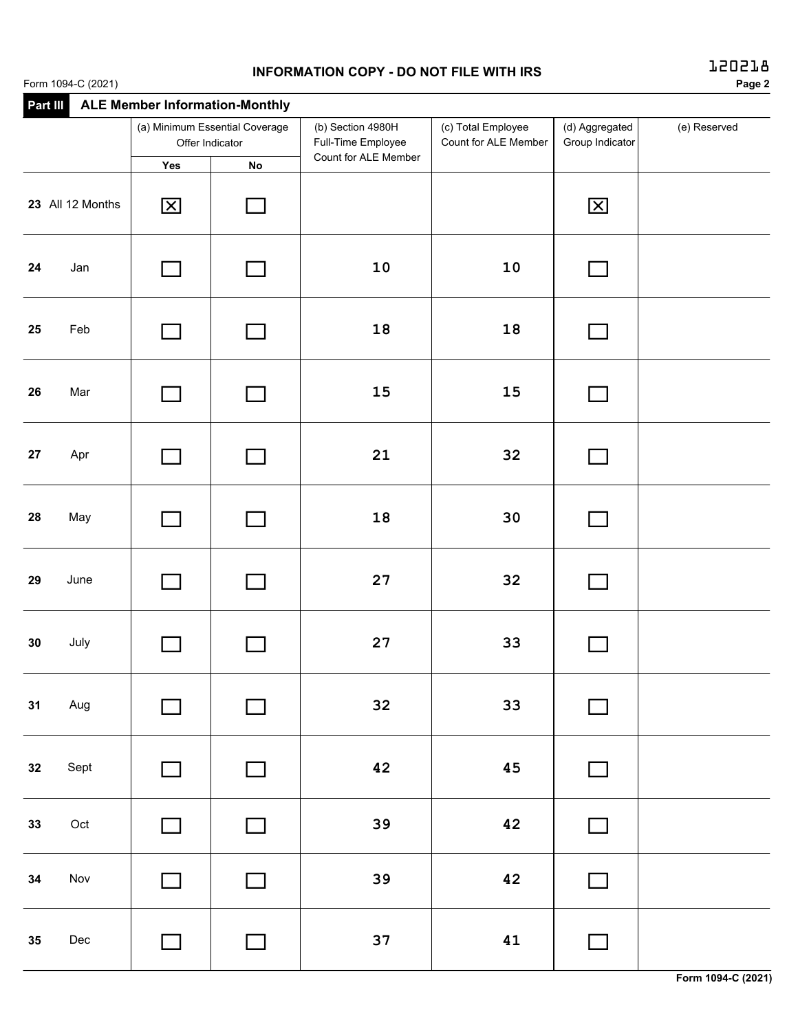## **INFORMATION COPY - DO NOT FILE WITH IRS**

| <b>INFURNIATION COFT - DO NOT FILE WITH INS</b><br>Form 1094-C (2021) |                                                   |                                       |                                         |                                            |                                   |              |  |
|-----------------------------------------------------------------------|---------------------------------------------------|---------------------------------------|-----------------------------------------|--------------------------------------------|-----------------------------------|--------------|--|
| Part III                                                              |                                                   | <b>ALE Member Information-Monthly</b> |                                         |                                            |                                   |              |  |
|                                                                       | (a) Minimum Essential Coverage<br>Offer Indicator |                                       | (b) Section 4980H<br>Full-Time Employee | (c) Total Employee<br>Count for ALE Member | (d) Aggregated<br>Group Indicator | (e) Reserved |  |
|                                                                       | Yes                                               | <b>No</b>                             | Count for ALE Member                    |                                            |                                   |              |  |
| 23 All 12 Months                                                      | $\mathbf{\Sigma}$                                 |                                       |                                         |                                            | $\boxed{\mathsf{X}}$              |              |  |
| Jan<br>24                                                             |                                                   |                                       | 10                                      | 10                                         |                                   |              |  |
| Feb<br>25                                                             |                                                   |                                       | 18                                      | 18                                         |                                   |              |  |
| Mar<br>26                                                             |                                                   |                                       | 15                                      | 15                                         |                                   |              |  |
| 27<br>Apr                                                             |                                                   |                                       | 21                                      | 32                                         |                                   |              |  |
| 28<br>May                                                             |                                                   |                                       | 18                                      | 30                                         |                                   |              |  |
|                                                                       |                                                   |                                       |                                         |                                            |                                   |              |  |

| 28 | May          | $\Box$                      | $\Box$                   | 18     | 30 | $\Box$ |  |
|----|--------------|-----------------------------|--------------------------|--------|----|--------|--|
| 29 | June         | $\mathcal{L}_{\mathcal{A}}$ | $\Box$                   | $27\,$ | 32 | $\Box$ |  |
| 30 | July         | $\Box$                      | $\Box$                   | $27\,$ | 33 | $\Box$ |  |
| 31 | Aug          | $\Box$                      | $\overline{\phantom{a}}$ | 32     | 33 | $\Box$ |  |
| 32 | Sept         | $\Box$                      | $\Box$                   | 42     | 45 | $\Box$ |  |
| 33 | $\hbox{Oct}$ | $\Box$                      | $\Box$                   | 39     | 42 | $\Box$ |  |
| 34 | Nov          | $\Box$                      | $\Box$                   | 39     | 42 | $\Box$ |  |
| 35 | Dec          | $\Box$                      | $\Box$                   | 37     | 41 | $\Box$ |  |